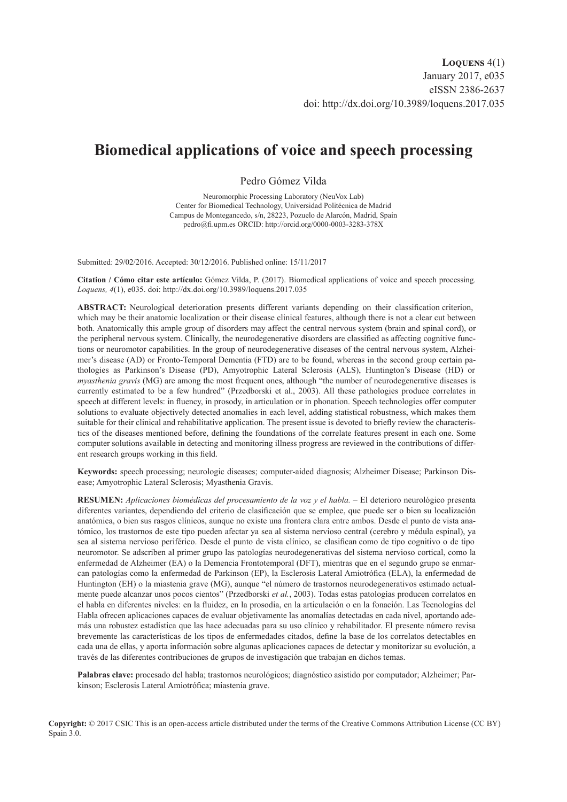## **Biomedical applications of voice and speech processing**

Pedro Gómez Vilda

Neuromorphic Processing Laboratory (NeuVox Lab) Center for Biomedical Technology, Universidad Politécnica de Madrid Campus de Montegancedo, s/n, 28223, Pozuelo de Alarcón, Madrid, Spain [pedro@fi.upm.es](mailto:pedro%40fi.upm.es?subject=) ORCID: <http://orcid.org/0000-0003-3283-378X>

Submitted: 29/02/2016. Accepted: 30/12/2016. Published online: 15/11/2017

**Citation / Cómo citar este artículo:** Gómez Vilda, P. (2017). Biomedical applications of voice and speech processing. *Loquens, 4*(1), e035. doi:<http://dx.doi.org/10.3989/loquens.2017.035>

**ABSTRACT:** Neurological deterioration presents different variants depending on their classification criterion, which may be their anatomic localization or their disease clinical features, although there is not a clear cut between both. Anatomically this ample group of disorders may affect the central nervous system (brain and spinal cord), or the peripheral nervous system. Clinically, the neurodegenerative disorders are classified as affecting cognitive functions or neuromotor capabilities. In the group of neurodegenerative diseases of the central nervous system, Alzheimer's disease (AD) or Fronto-Temporal Dementia (FTD) are to be found, whereas in the second group certain pathologies as Parkinson's Disease (PD), Amyotrophic Lateral Sclerosis (ALS), Huntington's Disease (HD) or *myasthenia gravis* (MG) are among the most frequent ones, although "the number of neurodegenerative diseases is currently estimated to be a few hundred" (Przedborski et al., 2003). All these pathologies produce correlates in speech at different levels: in fluency, in prosody, in articulation or in phonation. Speech technologies offer computer solutions to evaluate objectively detected anomalies in each level, adding statistical robustness, which makes them suitable for their clinical and rehabilitative application. The present issue is devoted to briefly review the characteristics of the diseases mentioned before, defining the foundations of the correlate features present in each one. Some computer solutions available in detecting and monitoring illness progress are reviewed in the contributions of different research groups working in this field.

**Keywords:** speech processing; neurologic diseases; computer-aided diagnosis; Alzheimer Disease; Parkinson Disease; Amyotrophic Lateral Sclerosis; Myasthenia Gravis.

**RESUMEN:** *Aplicaciones biomédicas del procesamiento de la voz y el habla.* – El deterioro neurológico presenta diferentes variantes, dependiendo del criterio de clasificación que se emplee, que puede ser o bien su localización anatómica, o bien sus rasgos clínicos, aunque no existe una frontera clara entre ambos. Desde el punto de vista anatómico, los trastornos de este tipo pueden afectar ya sea al sistema nervioso central (cerebro y médula espinal), ya sea al sistema nervioso periférico. Desde el punto de vista clínico, se clasifican como de tipo cognitivo o de tipo neuromotor. Se adscriben al primer grupo las patologías neurodegenerativas del sistema nervioso cortical, como la enfermedad de Alzheimer (EA) o la Demencia Frontotemporal (DFT), mientras que en el segundo grupo se enmarcan patologías como la enfermedad de Parkinson (EP), la Esclerosis Lateral Amiotrófica (ELA), la enfermedad de Huntington (EH) o la miastenia grave (MG), aunque "el número de trastornos neurodegenerativos estimado actualmente puede alcanzar unos pocos cientos" (Przedborski *et al.*, 2003). Todas estas patologías producen correlatos en el habla en diferentes niveles: en la fluidez, en la prosodia, en la articulación o en la fonación. Las Tecnologías del Habla ofrecen aplicaciones capaces de evaluar objetivamente las anomalías detectadas en cada nivel, aportando además una robustez estadística que las hace adecuadas para su uso clínico y rehabilitador. El presente número revisa brevemente las características de los tipos de enfermedades citados, define la base de los correlatos detectables en cada una de ellas, y aporta información sobre algunas aplicaciones capaces de detectar y monitorizar su evolución, a través de las diferentes contribuciones de grupos de investigación que trabajan en dichos temas.

**Palabras clave:** procesado del habla; trastornos neurológicos; diagnóstico asistido por computador; Alzheimer; Parkinson; Esclerosis Lateral Amiotrófica; miastenia grave.

**Copyright:** © 2017 CSIC This is an open-access article distributed under the terms of the Creative Commons Attribution License (CC BY) Spain 3.0.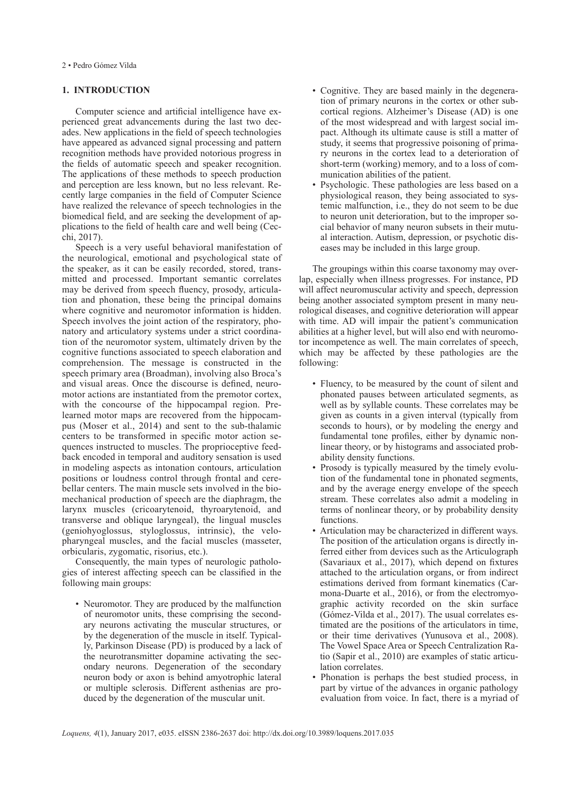2 • Pedro Gómez Vilda

## **1. INTRODUCTION**

Computer science and artificial intelligence have experienced great advancements during the last two decades. New applications in the field of speech technologies have appeared as advanced signal processing and pattern recognition methods have provided notorious progress in the fields of automatic speech and speaker recognition. The applications of these methods to speech production and perception are less known, but no less relevant. Recently large companies in the field of Computer Science have realized the relevance of speech technologies in the biomedical field, and are seeking the development of applications to the field of health care and well being (Cecchi, 2017).

Speech is a very useful behavioral manifestation of the neurological, emotional and psychological state of the speaker, as it can be easily recorded, stored, transmitted and processed. Important semantic correlates may be derived from speech fluency, prosody, articulation and phonation, these being the principal domains where cognitive and neuromotor information is hidden. Speech involves the joint action of the respiratory, phonatory and articulatory systems under a strict coordination of the neuromotor system, ultimately driven by the cognitive functions associated to speech elaboration and comprehension. The message is constructed in the speech primary area (Broadman), involving also Broca's and visual areas. Once the discourse is defined, neuromotor actions are instantiated from the premotor cortex, with the concourse of the hippocampal region. Prelearned motor maps are recovered from the hippocampus (Moser et al., 2014) and sent to the sub-thalamic centers to be transformed in specific motor action sequences instructed to muscles. The proprioceptive feedback encoded in temporal and auditory sensation is used in modeling aspects as intonation contours, articulation positions or loudness control through frontal and cerebellar centers. The main muscle sets involved in the biomechanical production of speech are the diaphragm, the larynx muscles (cricoarytenoid, thyroarytenoid, and transverse and oblique laryngeal), the lingual muscles (geniohyoglossus, styloglossus, intrinsic), the velopharyngeal muscles, and the facial muscles (masseter, orbicularis, zygomatic, risorius, etc.).

Consequently, the main types of neurologic pathologies of interest affecting speech can be classified in the following main groups:

• Neuromotor. They are produced by the malfunction of neuromotor units, these comprising the secondary neurons activating the muscular structures, or by the degeneration of the muscle in itself. Typically, Parkinson Disease (PD) is produced by a lack of the neurotransmitter dopamine activating the secondary neurons. Degeneration of the secondary neuron body or axon is behind amyotrophic lateral or multiple sclerosis. Different asthenias are produced by the degeneration of the muscular unit.

- Cognitive. They are based mainly in the degeneration of primary neurons in the cortex or other subcortical regions. Alzheimer's Disease (AD) is one of the most widespread and with largest social impact. Although its ultimate cause is still a matter of study, it seems that progressive poisoning of primary neurons in the cortex lead to a deterioration of short-term (working) memory, and to a loss of communication abilities of the patient.
- Psychologic. These pathologies are less based on a physiological reason, they being associated to systemic malfunction, i.e., they do not seem to be due to neuron unit deterioration, but to the improper social behavior of many neuron subsets in their mutual interaction. Autism, depression, or psychotic diseases may be included in this large group.

The groupings within this coarse taxonomy may overlap, especially when illness progresses. For instance, PD will affect neuromuscular activity and speech, depression being another associated symptom present in many neurological diseases, and cognitive deterioration will appear with time. AD will impair the patient's communication abilities at a higher level, but will also end with neuromotor incompetence as well. The main correlates of speech, which may be affected by these pathologies are the following:

- Fluency, to be measured by the count of silent and phonated pauses between articulated segments, as well as by syllable counts. These correlates may be given as counts in a given interval (typically from seconds to hours), or by modeling the energy and fundamental tone profiles, either by dynamic nonlinear theory, or by histograms and associated probability density functions.
- Prosody is typically measured by the timely evolution of the fundamental tone in phonated segments, and by the average energy envelope of the speech stream. These correlates also admit a modeling in terms of nonlinear theory, or by probability density functions.
- Articulation may be characterized in different ways. The position of the articulation organs is directly inferred either from devices such as the Articulograph (Savariaux et al., 2017), which depend on fixtures attached to the articulation organs, or from indirect estimations derived from formant kinematics (Carmona-Duarte et al., 2016), or from the electromyographic activity recorded on the skin surface (Gómez-Vilda et al., 2017). The usual correlates estimated are the positions of the articulators in time, or their time derivatives (Yunusova et al., 2008). The Vowel Space Area or Speech Centralization Ratio (Sapir et al., 2010) are examples of static articulation correlates.
- Phonation is perhaps the best studied process, in part by virtue of the advances in organic pathology evaluation from voice. In fact, there is a myriad of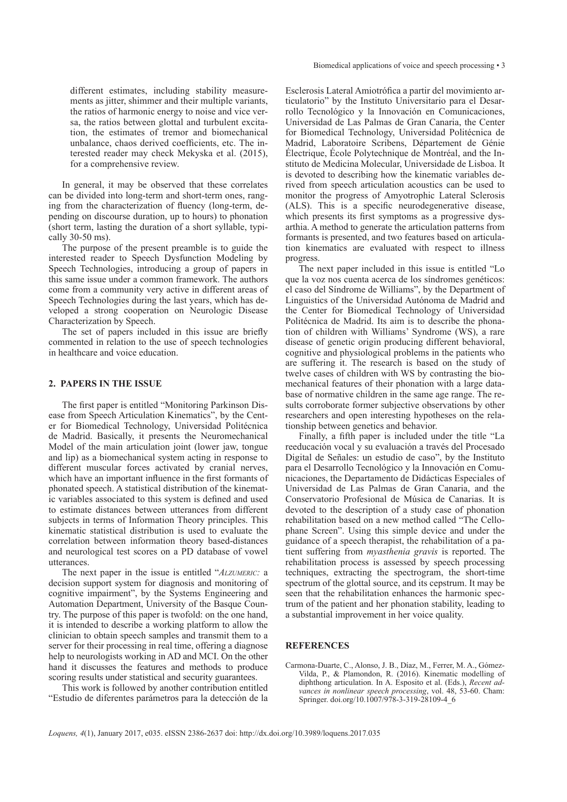different estimates, including stability measurements as jitter, shimmer and their multiple variants, the ratios of harmonic energy to noise and vice versa, the ratios between glottal and turbulent excitation, the estimates of tremor and biomechanical unbalance, chaos derived coefficients, etc. The interested reader may check Mekyska et al. (2015), for a comprehensive review.

In general, it may be observed that these correlates can be divided into long-term and short-term ones, ranging from the characterization of fluency (long-term, depending on discourse duration, up to hours) to phonation (short term, lasting the duration of a short syllable, typically 30-50 ms).

The purpose of the present preamble is to guide the interested reader to Speech Dysfunction Modeling by Speech Technologies, introducing a group of papers in this same issue under a common framework. The authors come from a community very active in different areas of Speech Technologies during the last years, which has developed a strong cooperation on Neurologic Disease Characterization by Speech.

The set of papers included in this issue are briefly commented in relation to the use of speech technologies in healthcare and voice education.

## **2. PAPERS IN THE ISSUE**

The first paper is entitled "Monitoring Parkinson Disease from Speech Articulation Kinematics", by the Center for Biomedical Technology, Universidad Politécnica de Madrid. Basically, it presents the Neuromechanical Model of the main articulation joint (lower jaw, tongue and lip) as a biomechanical system acting in response to different muscular forces activated by cranial nerves, which have an important influence in the first formants of phonated speech. A statistical distribution of the kinematic variables associated to this system is defined and used to estimate distances between utterances from different subjects in terms of Information Theory principles. This kinematic statistical distribution is used to evaluate the correlation between information theory based-distances and neurological test scores on a PD database of vowel utterances.

The next paper in the issue is entitled "*Alzumeric:* a decision support system for diagnosis and monitoring of cognitive impairment", by the Systems Engineering and Automation Department, University of the Basque Country. The purpose of this paper is twofold: on the one hand, it is intended to describe a working platform to allow the clinician to obtain speech samples and transmit them to a server for their processing in real time, offering a diagnose help to neurologists working in AD and MCI. On the other hand it discusses the features and methods to produce scoring results under statistical and security guarantees.

This work is followed by another contribution entitled "Estudio de diferentes parámetros para la detección de la Esclerosis Lateral Amiotrófica a partir del movimiento articulatorio" by the Instituto Universitario para el Desarrollo Tecnológico y la Innovación en Comunicaciones, Universidad de Las Palmas de Gran Canaria, the Center for Biomedical Technology, Universidad Politécnica de Madrid, Laboratoire Scribens, Département de Génie Électrique, École Polytechnique de Montréal, and the Instituto de Medicina Molecular, Universidade de Lisboa. It is devoted to describing how the kinematic variables derived from speech articulation acoustics can be used to monitor the progress of Amyotrophic Lateral Sclerosis (ALS). This is a specific neurodegenerative disease, which presents its first symptoms as a progressive dysarthia. A method to generate the articulation patterns from formants is presented, and two features based on articulation kinematics are evaluated with respect to illness progress.

The next paper included in this issue is entitled "Lo que la voz nos cuenta acerca de los síndromes genéticos: el caso del Síndrome de Williams", by the Department of Linguistics of the Universidad Autónoma de Madrid and the Center for Biomedical Technology of Universidad Politécnica de Madrid. Its aim is to describe the phonation of children with Williams' Syndrome (WS), a rare disease of genetic origin producing different behavioral, cognitive and physiological problems in the patients who are suffering it. The research is based on the study of twelve cases of children with WS by contrasting the biomechanical features of their phonation with a large database of normative children in the same age range. The results corroborate former subjective observations by other researchers and open interesting hypotheses on the relationship between genetics and behavior.

Finally, a fifth paper is included under the title "La reeducación vocal y su evaluación a través del Procesado Digital de Señales: un estudio de caso", by the Instituto para el Desarrollo Tecnológico y la Innovación en Comunicaciones, the Departamento de Didácticas Especiales of Universidad de Las Palmas de Gran Canaria, and the Conservatorio Profesional de Música de Canarias. It is devoted to the description of a study case of phonation rehabilitation based on a new method called "The Cellophane Screen". Using this simple device and under the guidance of a speech therapist, the rehabilitation of a patient suffering from *myasthenia gravis* is reported. The rehabilitation process is assessed by speech processing techniques, extracting the spectrogram, the short-time spectrum of the glottal source, and its cepstrum. It may be seen that the rehabilitation enhances the harmonic spectrum of the patient and her phonation stability, leading to a substantial improvement in her voice quality.

## **REFERENCES**

Carmona-Duarte, C., Alonso, J. B., Díaz, M., Ferrer, M. A., Gómez-Vilda, P., & Plamondon, R. (2016). Kinematic modelling of diphthong articulation. In A. Esposito et al. (Eds.), *Recent advances in nonlinear speech processing*, vol. 48, 53-60. Cham: Springer. [doi.org/10.1007/978-3-319-28109-4\\_6](http://doi.org/10.1007/978-3-319-28109-4_6)